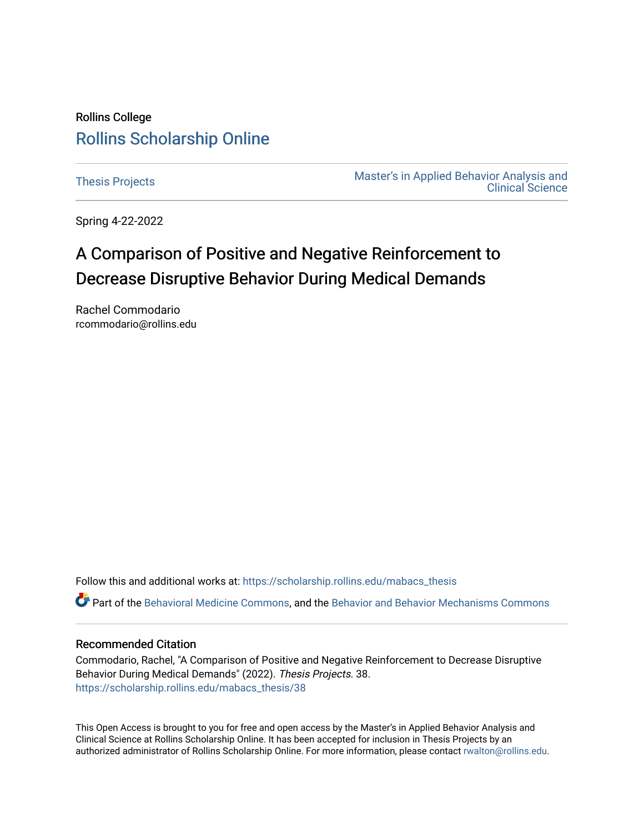## Rollins College [Rollins Scholarship Online](https://scholarship.rollins.edu/)

[Thesis Projects](https://scholarship.rollins.edu/mabacs_thesis) **Master's in Applied Behavior Analysis and** Master's in Applied Behavior Analysis and [Clinical Science](https://scholarship.rollins.edu/mabacs) 

Spring 4-22-2022

# A Comparison of Positive and Negative Reinforcement to Decrease Disruptive Behavior During Medical Demands

Rachel Commodario rcommodario@rollins.edu

Follow this and additional works at: [https://scholarship.rollins.edu/mabacs\\_thesis](https://scholarship.rollins.edu/mabacs_thesis?utm_source=scholarship.rollins.edu%2Fmabacs_thesis%2F38&utm_medium=PDF&utm_campaign=PDFCoverPages) 

Part of the [Behavioral Medicine Commons](https://network.bepress.com/hgg/discipline/1405?utm_source=scholarship.rollins.edu%2Fmabacs_thesis%2F38&utm_medium=PDF&utm_campaign=PDFCoverPages), and the [Behavior and Behavior Mechanisms Commons](https://network.bepress.com/hgg/discipline/963?utm_source=scholarship.rollins.edu%2Fmabacs_thesis%2F38&utm_medium=PDF&utm_campaign=PDFCoverPages) 

#### Recommended Citation

Commodario, Rachel, "A Comparison of Positive and Negative Reinforcement to Decrease Disruptive Behavior During Medical Demands" (2022). Thesis Projects. 38. [https://scholarship.rollins.edu/mabacs\\_thesis/38](https://scholarship.rollins.edu/mabacs_thesis/38?utm_source=scholarship.rollins.edu%2Fmabacs_thesis%2F38&utm_medium=PDF&utm_campaign=PDFCoverPages) 

This Open Access is brought to you for free and open access by the Master's in Applied Behavior Analysis and Clinical Science at Rollins Scholarship Online. It has been accepted for inclusion in Thesis Projects by an authorized administrator of Rollins Scholarship Online. For more information, please contact [rwalton@rollins.edu](mailto:rwalton@rollins.edu).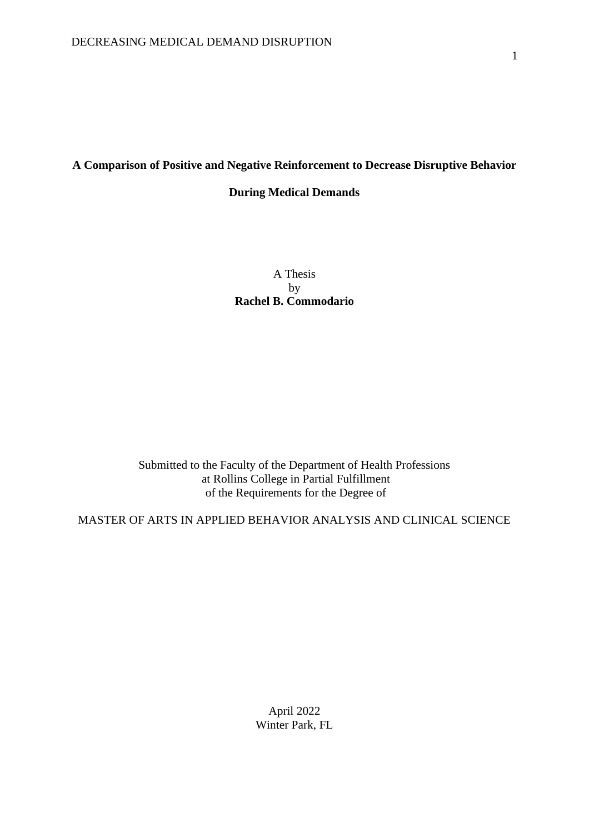### **A Comparison of Positive and Negative Reinforcement to Decrease Disruptive Behavior**

### **During Medical Demands**

A Thesis by **Rachel B. Commodario**

Submitted to the Faculty of the Department of Health Professions at Rollins College in Partial Fulfillment of the Requirements for the Degree of

MASTER OF ARTS IN APPLIED BEHAVIOR ANALYSIS AND CLINICAL SCIENCE

April 2022 Winter Park, FL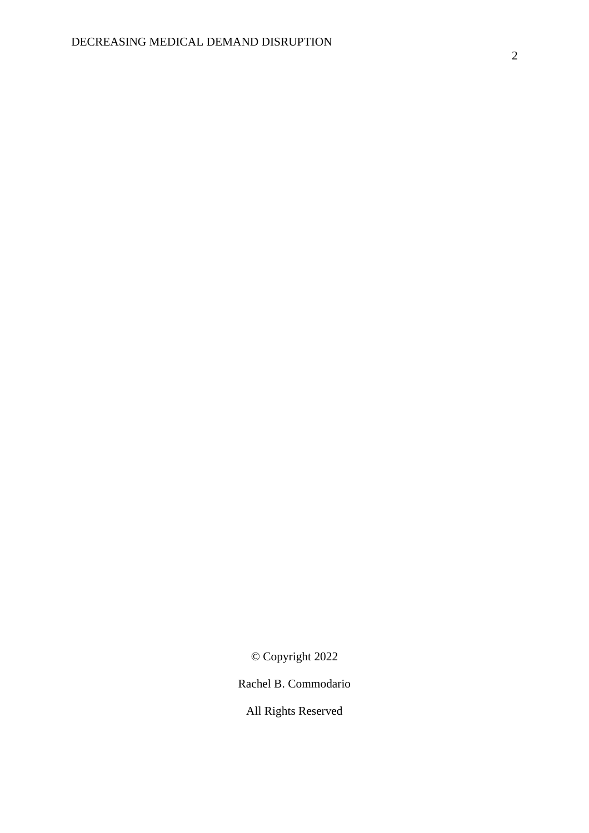© Copyright 2022

Rachel B. Commodario

All Rights Reserved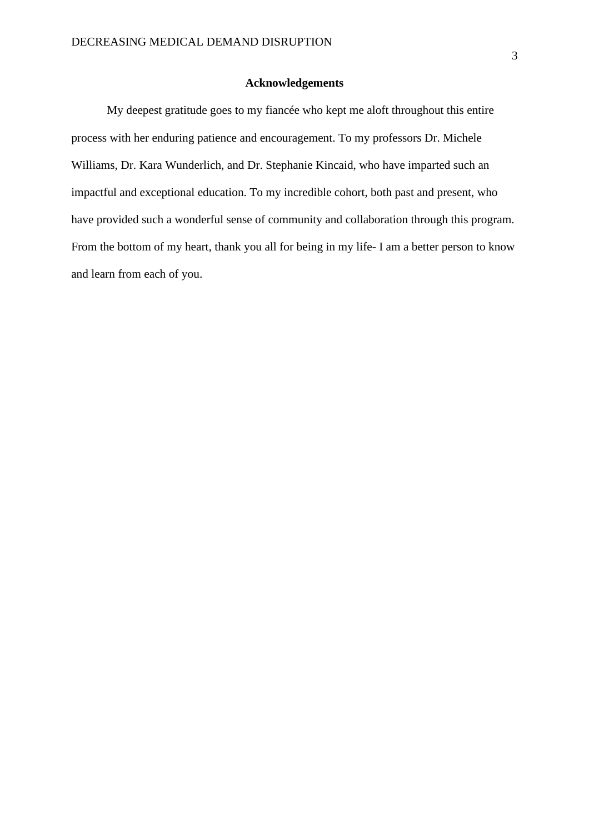### **Acknowledgements**

My deepest gratitude goes to my fiancée who kept me aloft throughout this entire process with her enduring patience and encouragement. To my professors Dr. Michele Williams, Dr. Kara Wunderlich, and Dr. Stephanie Kincaid, who have imparted such an impactful and exceptional education. To my incredible cohort, both past and present, who have provided such a wonderful sense of community and collaboration through this program. From the bottom of my heart, thank you all for being in my life- I am a better person to know and learn from each of you.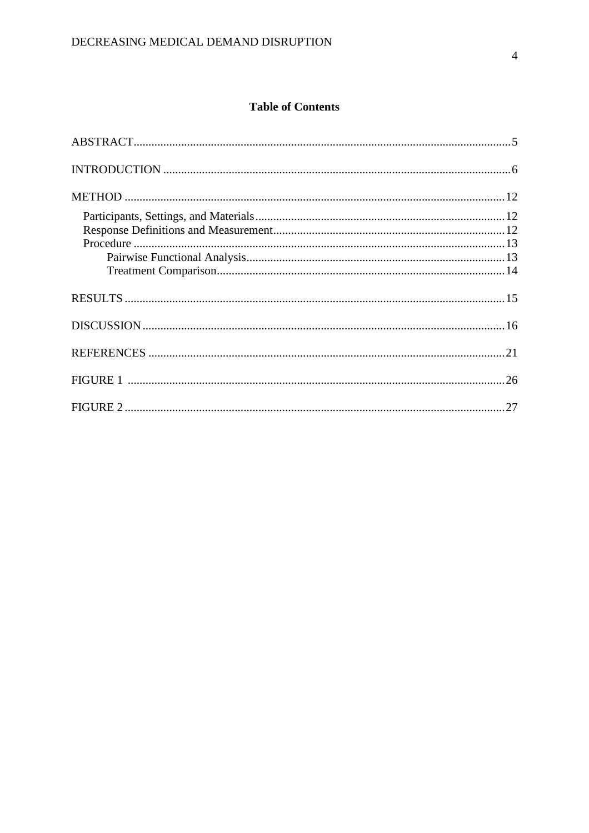## **Table of Contents**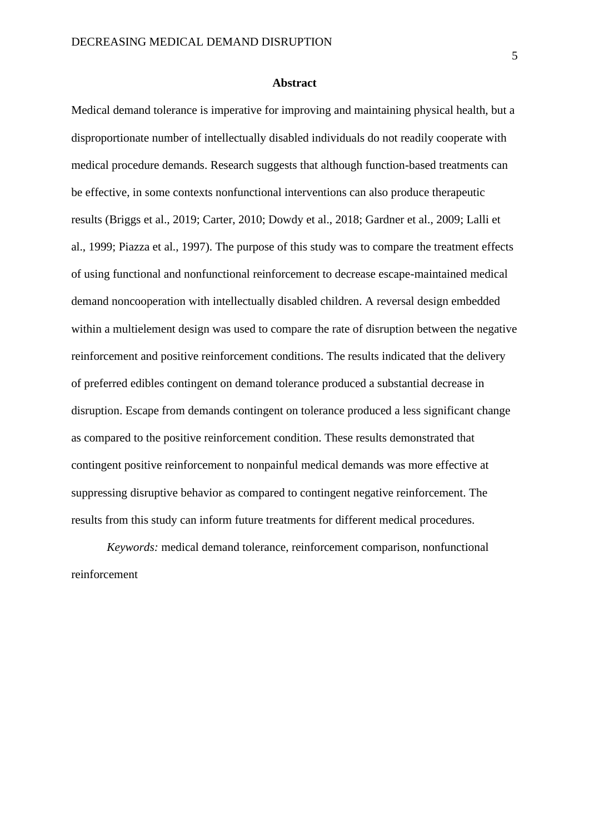#### **Abstract**

Medical demand tolerance is imperative for improving and maintaining physical health, but a disproportionate number of intellectually disabled individuals do not readily cooperate with medical procedure demands. Research suggests that although function-based treatments can be effective, in some contexts nonfunctional interventions can also produce therapeutic results (Briggs et al., 2019; Carter, 2010; Dowdy et al., 2018; Gardner et al., 2009; Lalli et al., 1999; Piazza et al., 1997). The purpose of this study was to compare the treatment effects of using functional and nonfunctional reinforcement to decrease escape-maintained medical demand noncooperation with intellectually disabled children. A reversal design embedded within a multielement design was used to compare the rate of disruption between the negative reinforcement and positive reinforcement conditions. The results indicated that the delivery of preferred edibles contingent on demand tolerance produced a substantial decrease in disruption. Escape from demands contingent on tolerance produced a less significant change as compared to the positive reinforcement condition. These results demonstrated that contingent positive reinforcement to nonpainful medical demands was more effective at suppressing disruptive behavior as compared to contingent negative reinforcement. The results from this study can inform future treatments for different medical procedures.

*Keywords:* medical demand tolerance, reinforcement comparison, nonfunctional reinforcement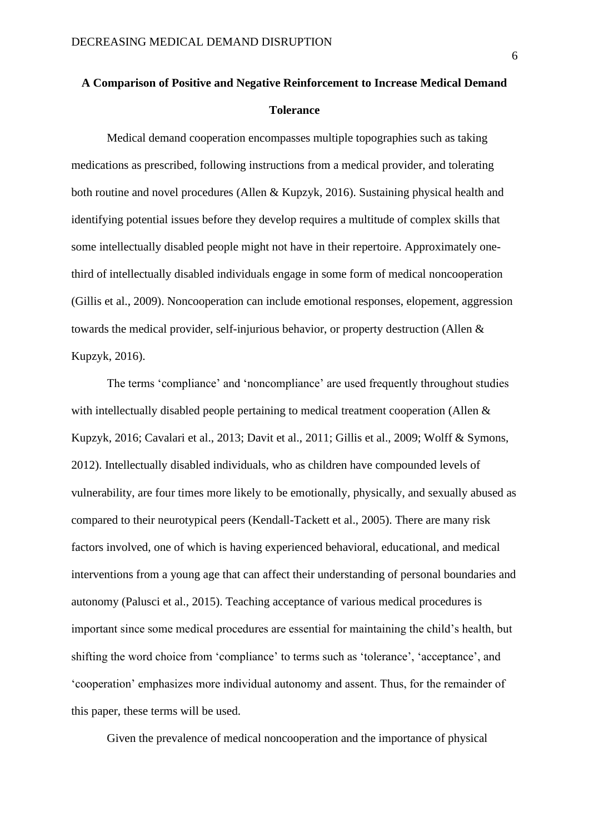# **A Comparison of Positive and Negative Reinforcement to Increase Medical Demand Tolerance**

Medical demand cooperation encompasses multiple topographies such as taking medications as prescribed, following instructions from a medical provider, and tolerating both routine and novel procedures (Allen & Kupzyk, 2016). Sustaining physical health and identifying potential issues before they develop requires a multitude of complex skills that some intellectually disabled people might not have in their repertoire. Approximately onethird of intellectually disabled individuals engage in some form of medical noncooperation (Gillis et al., 2009). Noncooperation can include emotional responses, elopement, aggression towards the medical provider, self-injurious behavior, or property destruction (Allen & Kupzyk, 2016).

The terms 'compliance' and 'noncompliance' are used frequently throughout studies with intellectually disabled people pertaining to medical treatment cooperation (Allen & Kupzyk, 2016; Cavalari et al., 2013; Davit et al., 2011; Gillis et al., 2009; Wolff & Symons, 2012). Intellectually disabled individuals, who as children have compounded levels of vulnerability, are four times more likely to be emotionally, physically, and sexually abused as compared to their neurotypical peers (Kendall-Tackett et al., 2005). There are many risk factors involved, one of which is having experienced behavioral, educational, and medical interventions from a young age that can affect their understanding of personal boundaries and autonomy (Palusci et al., 2015). Teaching acceptance of various medical procedures is important since some medical procedures are essential for maintaining the child's health, but shifting the word choice from 'compliance' to terms such as 'tolerance', 'acceptance', and 'cooperation' emphasizes more individual autonomy and assent. Thus, for the remainder of this paper, these terms will be used.

Given the prevalence of medical noncooperation and the importance of physical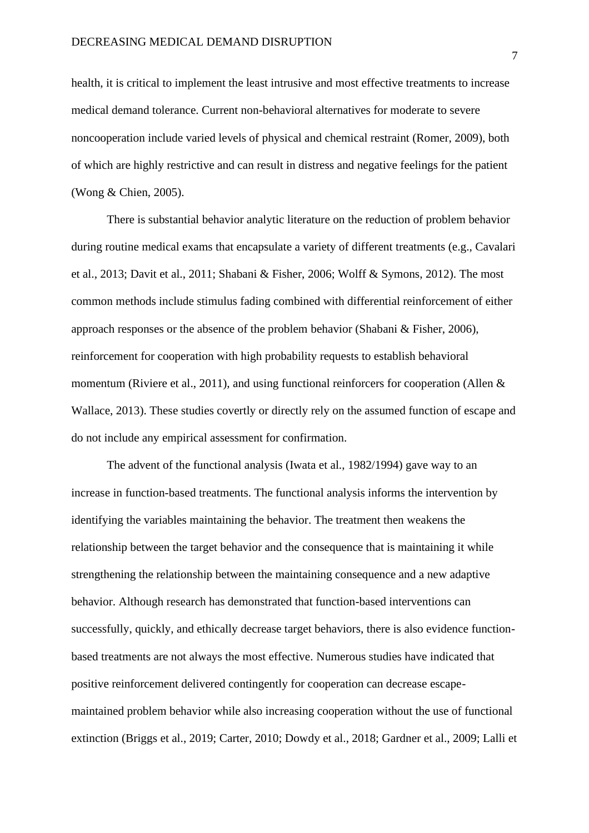health, it is critical to implement the least intrusive and most effective treatments to increase medical demand tolerance. Current non-behavioral alternatives for moderate to severe noncooperation include varied levels of physical and chemical restraint (Romer, 2009), both of which are highly restrictive and can result in distress and negative feelings for the patient (Wong & Chien, 2005).

There is substantial behavior analytic literature on the reduction of problem behavior during routine medical exams that encapsulate a variety of different treatments (e.g., Cavalari et al., 2013; Davit et al., 2011; Shabani & Fisher, 2006; Wolff & Symons, 2012). The most common methods include stimulus fading combined with differential reinforcement of either approach responses or the absence of the problem behavior (Shabani & Fisher, 2006), reinforcement for cooperation with high probability requests to establish behavioral momentum (Riviere et al., 2011), and using functional reinforcers for cooperation (Allen & Wallace, 2013). These studies covertly or directly rely on the assumed function of escape and do not include any empirical assessment for confirmation.

The advent of the functional analysis (Iwata et al., 1982/1994) gave way to an increase in function-based treatments. The functional analysis informs the intervention by identifying the variables maintaining the behavior. The treatment then weakens the relationship between the target behavior and the consequence that is maintaining it while strengthening the relationship between the maintaining consequence and a new adaptive behavior. Although research has demonstrated that function-based interventions can successfully, quickly, and ethically decrease target behaviors, there is also evidence functionbased treatments are not always the most effective. Numerous studies have indicated that positive reinforcement delivered contingently for cooperation can decrease escapemaintained problem behavior while also increasing cooperation without the use of functional extinction (Briggs et al., 2019; Carter, 2010; Dowdy et al., 2018; Gardner et al., 2009; Lalli et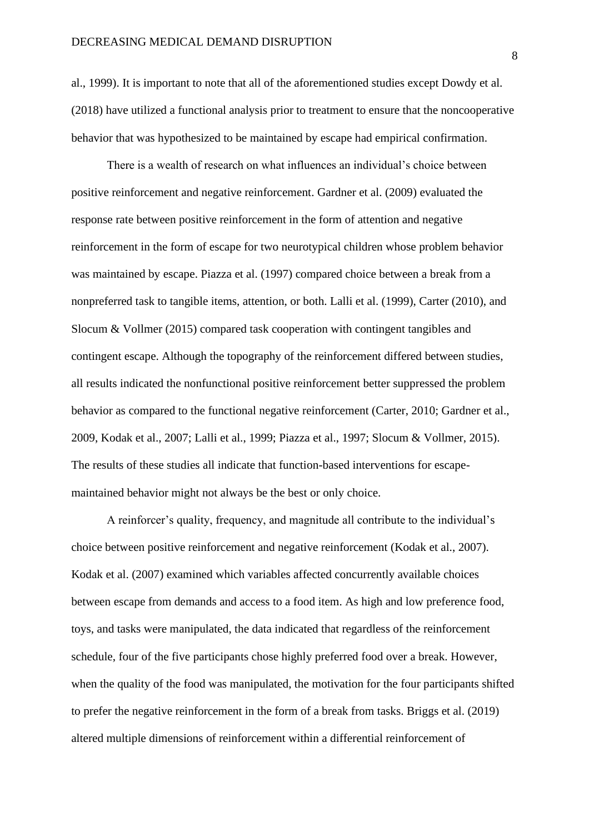al., 1999). It is important to note that all of the aforementioned studies except Dowdy et al. (2018) have utilized a functional analysis prior to treatment to ensure that the noncooperative behavior that was hypothesized to be maintained by escape had empirical confirmation.

There is a wealth of research on what influences an individual's choice between positive reinforcement and negative reinforcement. Gardner et al. (2009) evaluated the response rate between positive reinforcement in the form of attention and negative reinforcement in the form of escape for two neurotypical children whose problem behavior was maintained by escape. Piazza et al. (1997) compared choice between a break from a nonpreferred task to tangible items, attention, or both. Lalli et al. (1999), Carter (2010), and Slocum & Vollmer (2015) compared task cooperation with contingent tangibles and contingent escape. Although the topography of the reinforcement differed between studies, all results indicated the nonfunctional positive reinforcement better suppressed the problem behavior as compared to the functional negative reinforcement (Carter, 2010; Gardner et al., 2009, Kodak et al., 2007; Lalli et al., 1999; Piazza et al., 1997; Slocum & Vollmer, 2015). The results of these studies all indicate that function-based interventions for escapemaintained behavior might not always be the best or only choice.

A reinforcer's quality, frequency, and magnitude all contribute to the individual's choice between positive reinforcement and negative reinforcement (Kodak et al., 2007). Kodak et al. (2007) examined which variables affected concurrently available choices between escape from demands and access to a food item. As high and low preference food, toys, and tasks were manipulated, the data indicated that regardless of the reinforcement schedule, four of the five participants chose highly preferred food over a break. However, when the quality of the food was manipulated, the motivation for the four participants shifted to prefer the negative reinforcement in the form of a break from tasks. Briggs et al. (2019) altered multiple dimensions of reinforcement within a differential reinforcement of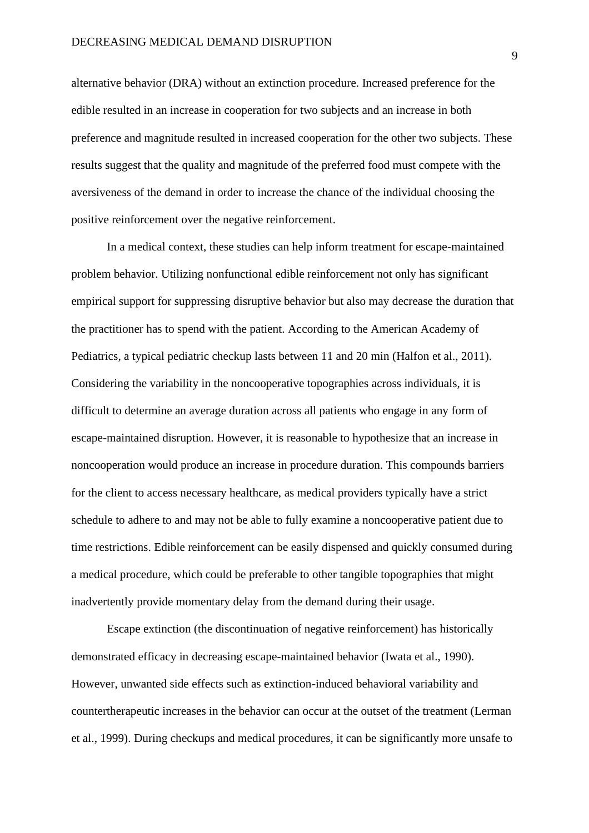alternative behavior (DRA) without an extinction procedure. Increased preference for the edible resulted in an increase in cooperation for two subjects and an increase in both preference and magnitude resulted in increased cooperation for the other two subjects. These results suggest that the quality and magnitude of the preferred food must compete with the aversiveness of the demand in order to increase the chance of the individual choosing the positive reinforcement over the negative reinforcement.

In a medical context, these studies can help inform treatment for escape-maintained problem behavior. Utilizing nonfunctional edible reinforcement not only has significant empirical support for suppressing disruptive behavior but also may decrease the duration that the practitioner has to spend with the patient. According to the American Academy of Pediatrics, a typical pediatric checkup lasts between 11 and 20 min (Halfon et al., 2011). Considering the variability in the noncooperative topographies across individuals, it is difficult to determine an average duration across all patients who engage in any form of escape-maintained disruption. However, it is reasonable to hypothesize that an increase in noncooperation would produce an increase in procedure duration. This compounds barriers for the client to access necessary healthcare, as medical providers typically have a strict schedule to adhere to and may not be able to fully examine a noncooperative patient due to time restrictions. Edible reinforcement can be easily dispensed and quickly consumed during a medical procedure, which could be preferable to other tangible topographies that might inadvertently provide momentary delay from the demand during their usage.

Escape extinction (the discontinuation of negative reinforcement) has historically demonstrated efficacy in decreasing escape-maintained behavior (Iwata et al., 1990). However, unwanted side effects such as extinction-induced behavioral variability and countertherapeutic increases in the behavior can occur at the outset of the treatment (Lerman et al., 1999). During checkups and medical procedures, it can be significantly more unsafe to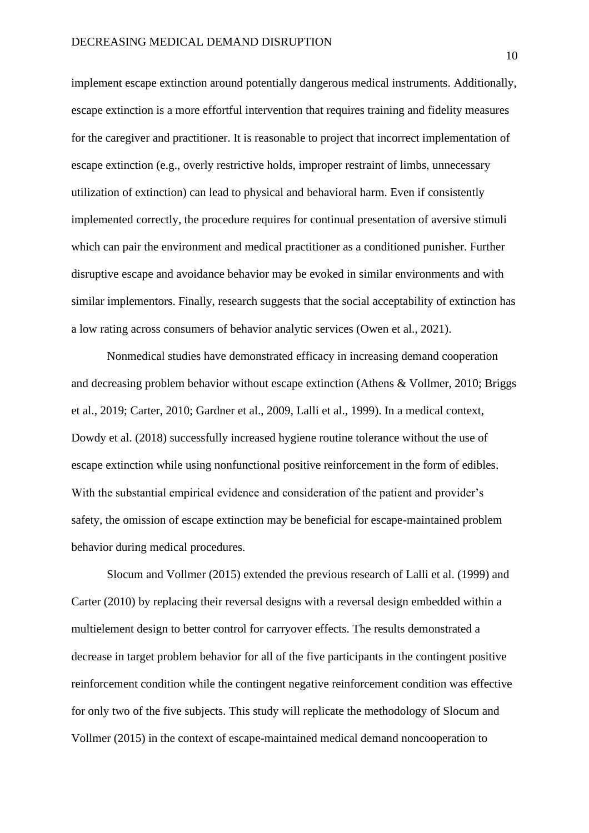implement escape extinction around potentially dangerous medical instruments. Additionally, escape extinction is a more effortful intervention that requires training and fidelity measures for the caregiver and practitioner. It is reasonable to project that incorrect implementation of escape extinction (e.g., overly restrictive holds, improper restraint of limbs, unnecessary utilization of extinction) can lead to physical and behavioral harm. Even if consistently implemented correctly, the procedure requires for continual presentation of aversive stimuli which can pair the environment and medical practitioner as a conditioned punisher. Further disruptive escape and avoidance behavior may be evoked in similar environments and with similar implementors. Finally, research suggests that the social acceptability of extinction has a low rating across consumers of behavior analytic services (Owen et al., 2021).

Nonmedical studies have demonstrated efficacy in increasing demand cooperation and decreasing problem behavior without escape extinction (Athens & Vollmer, 2010; Briggs et al., 2019; Carter, 2010; Gardner et al., 2009, Lalli et al., 1999). In a medical context, Dowdy et al. (2018) successfully increased hygiene routine tolerance without the use of escape extinction while using nonfunctional positive reinforcement in the form of edibles. With the substantial empirical evidence and consideration of the patient and provider's safety, the omission of escape extinction may be beneficial for escape-maintained problem behavior during medical procedures.

Slocum and Vollmer (2015) extended the previous research of Lalli et al. (1999) and Carter (2010) by replacing their reversal designs with a reversal design embedded within a multielement design to better control for carryover effects. The results demonstrated a decrease in target problem behavior for all of the five participants in the contingent positive reinforcement condition while the contingent negative reinforcement condition was effective for only two of the five subjects. This study will replicate the methodology of Slocum and Vollmer (2015) in the context of escape-maintained medical demand noncooperation to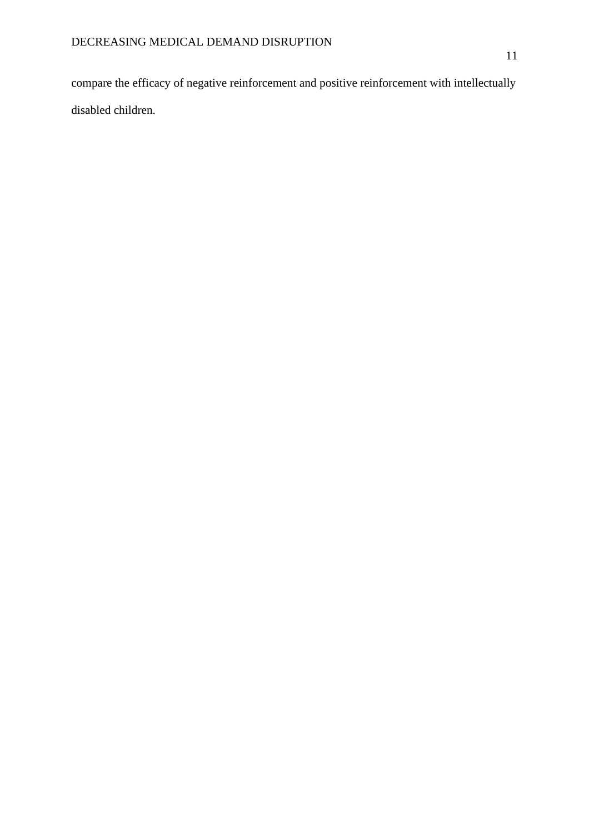compare the efficacy of negative reinforcement and positive reinforcement with intellectually disabled children.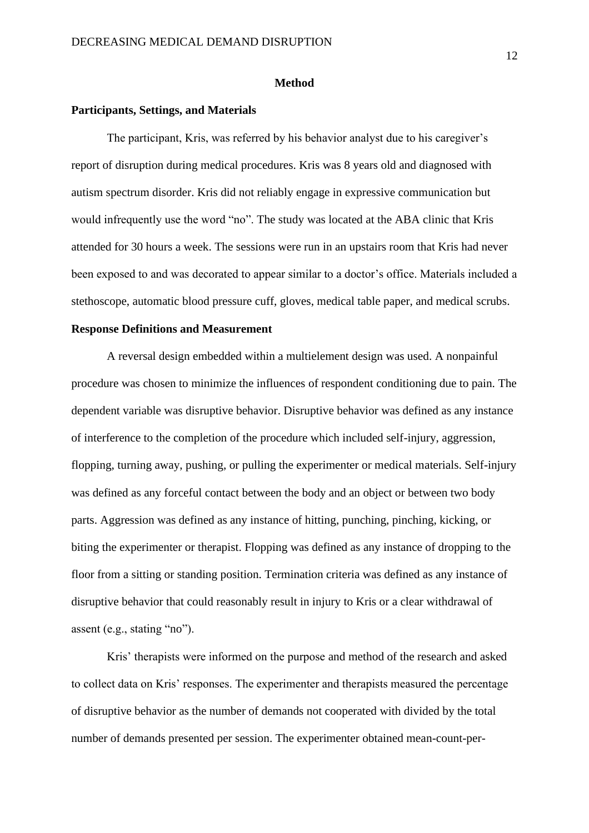#### **Method**

#### **Participants, Settings, and Materials**

The participant, Kris, was referred by his behavior analyst due to his caregiver's report of disruption during medical procedures. Kris was 8 years old and diagnosed with autism spectrum disorder. Kris did not reliably engage in expressive communication but would infrequently use the word "no". The study was located at the ABA clinic that Kris attended for 30 hours a week. The sessions were run in an upstairs room that Kris had never been exposed to and was decorated to appear similar to a doctor's office. Materials included a stethoscope, automatic blood pressure cuff, gloves, medical table paper, and medical scrubs.

#### **Response Definitions and Measurement**

A reversal design embedded within a multielement design was used. A nonpainful procedure was chosen to minimize the influences of respondent conditioning due to pain. The dependent variable was disruptive behavior. Disruptive behavior was defined as any instance of interference to the completion of the procedure which included self-injury, aggression, flopping, turning away, pushing, or pulling the experimenter or medical materials. Self-injury was defined as any forceful contact between the body and an object or between two body parts. Aggression was defined as any instance of hitting, punching, pinching, kicking, or biting the experimenter or therapist. Flopping was defined as any instance of dropping to the floor from a sitting or standing position. Termination criteria was defined as any instance of disruptive behavior that could reasonably result in injury to Kris or a clear withdrawal of assent (e.g., stating "no").

Kris' therapists were informed on the purpose and method of the research and asked to collect data on Kris' responses. The experimenter and therapists measured the percentage of disruptive behavior as the number of demands not cooperated with divided by the total number of demands presented per session. The experimenter obtained mean-count-per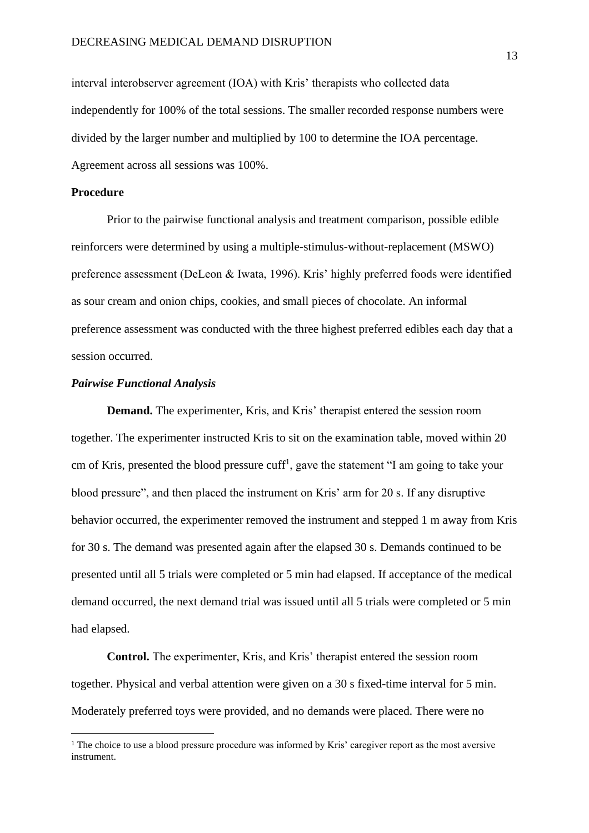interval interobserver agreement (IOA) with Kris' therapists who collected data independently for 100% of the total sessions. The smaller recorded response numbers were divided by the larger number and multiplied by 100 to determine the IOA percentage. Agreement across all sessions was 100%.

### **Procedure**

Prior to the pairwise functional analysis and treatment comparison, possible edible reinforcers were determined by using a multiple-stimulus-without-replacement (MSWO) preference assessment (DeLeon & Iwata, 1996). Kris' highly preferred foods were identified as sour cream and onion chips, cookies, and small pieces of chocolate. An informal preference assessment was conducted with the three highest preferred edibles each day that a session occurred.

#### *Pairwise Functional Analysis*

**Demand.** The experimenter, Kris, and Kris' therapist entered the session room together. The experimenter instructed Kris to sit on the examination table, moved within 20 cm of Kris, presented the blood pressure cuff<sup>1</sup>, gave the statement "I am going to take your blood pressure", and then placed the instrument on Kris' arm for 20 s. If any disruptive behavior occurred, the experimenter removed the instrument and stepped 1 m away from Kris for 30 s. The demand was presented again after the elapsed 30 s. Demands continued to be presented until all 5 trials were completed or 5 min had elapsed. If acceptance of the medical demand occurred, the next demand trial was issued until all 5 trials were completed or 5 min had elapsed.

**Control.** The experimenter, Kris, and Kris' therapist entered the session room together. Physical and verbal attention were given on a 30 s fixed-time interval for 5 min. Moderately preferred toys were provided, and no demands were placed. There were no

<sup>1</sup> The choice to use a blood pressure procedure was informed by Kris' caregiver report as the most aversive instrument.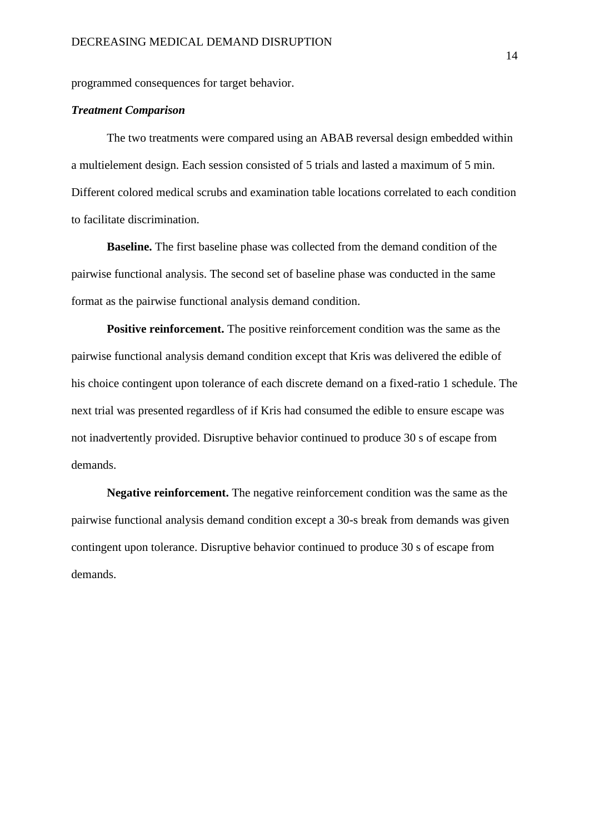programmed consequences for target behavior.

#### *Treatment Comparison*

The two treatments were compared using an ABAB reversal design embedded within a multielement design. Each session consisted of 5 trials and lasted a maximum of 5 min. Different colored medical scrubs and examination table locations correlated to each condition to facilitate discrimination.

**Baseline.** The first baseline phase was collected from the demand condition of the pairwise functional analysis. The second set of baseline phase was conducted in the same format as the pairwise functional analysis demand condition.

**Positive reinforcement.** The positive reinforcement condition was the same as the pairwise functional analysis demand condition except that Kris was delivered the edible of his choice contingent upon tolerance of each discrete demand on a fixed-ratio 1 schedule. The next trial was presented regardless of if Kris had consumed the edible to ensure escape was not inadvertently provided. Disruptive behavior continued to produce 30 s of escape from demands.

**Negative reinforcement.** The negative reinforcement condition was the same as the pairwise functional analysis demand condition except a 30-s break from demands was given contingent upon tolerance. Disruptive behavior continued to produce 30 s of escape from demands.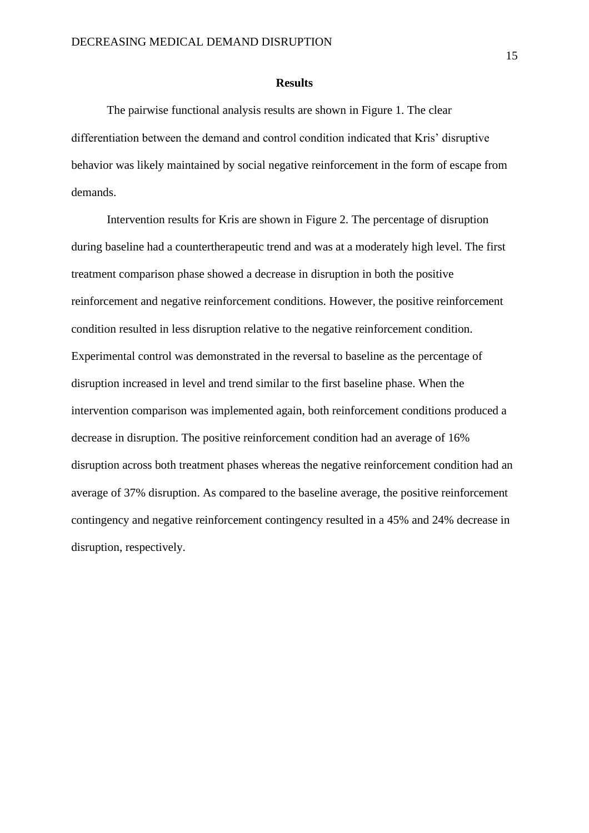#### **Results**

The pairwise functional analysis results are shown in Figure 1. The clear differentiation between the demand and control condition indicated that Kris' disruptive behavior was likely maintained by social negative reinforcement in the form of escape from demands.

Intervention results for Kris are shown in Figure 2. The percentage of disruption during baseline had a countertherapeutic trend and was at a moderately high level. The first treatment comparison phase showed a decrease in disruption in both the positive reinforcement and negative reinforcement conditions. However, the positive reinforcement condition resulted in less disruption relative to the negative reinforcement condition. Experimental control was demonstrated in the reversal to baseline as the percentage of disruption increased in level and trend similar to the first baseline phase. When the intervention comparison was implemented again, both reinforcement conditions produced a decrease in disruption. The positive reinforcement condition had an average of 16% disruption across both treatment phases whereas the negative reinforcement condition had an average of 37% disruption. As compared to the baseline average, the positive reinforcement contingency and negative reinforcement contingency resulted in a 45% and 24% decrease in disruption, respectively.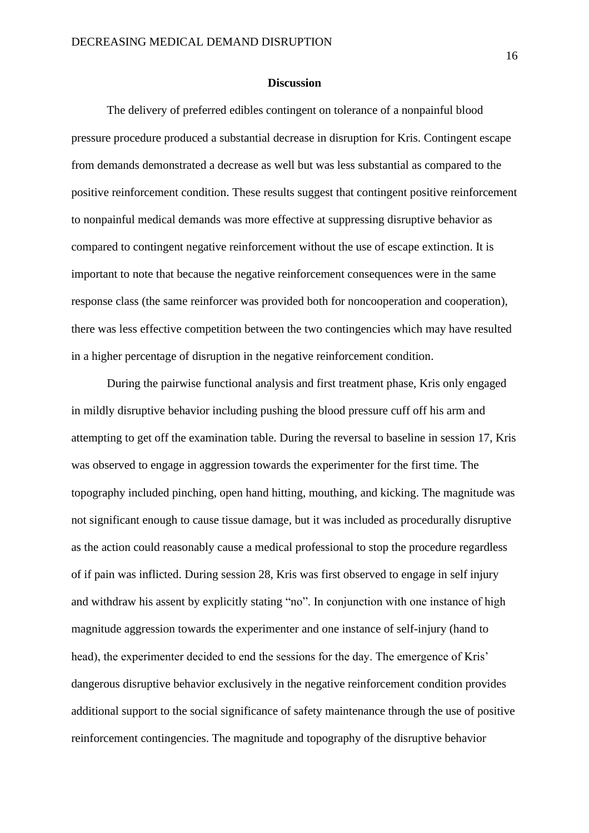#### **Discussion**

The delivery of preferred edibles contingent on tolerance of a nonpainful blood pressure procedure produced a substantial decrease in disruption for Kris. Contingent escape from demands demonstrated a decrease as well but was less substantial as compared to the positive reinforcement condition. These results suggest that contingent positive reinforcement to nonpainful medical demands was more effective at suppressing disruptive behavior as compared to contingent negative reinforcement without the use of escape extinction. It is important to note that because the negative reinforcement consequences were in the same response class (the same reinforcer was provided both for noncooperation and cooperation), there was less effective competition between the two contingencies which may have resulted in a higher percentage of disruption in the negative reinforcement condition.

During the pairwise functional analysis and first treatment phase, Kris only engaged in mildly disruptive behavior including pushing the blood pressure cuff off his arm and attempting to get off the examination table. During the reversal to baseline in session 17, Kris was observed to engage in aggression towards the experimenter for the first time. The topography included pinching, open hand hitting, mouthing, and kicking. The magnitude was not significant enough to cause tissue damage, but it was included as procedurally disruptive as the action could reasonably cause a medical professional to stop the procedure regardless of if pain was inflicted. During session 28, Kris was first observed to engage in self injury and withdraw his assent by explicitly stating "no". In conjunction with one instance of high magnitude aggression towards the experimenter and one instance of self-injury (hand to head), the experimenter decided to end the sessions for the day. The emergence of Kris' dangerous disruptive behavior exclusively in the negative reinforcement condition provides additional support to the social significance of safety maintenance through the use of positive reinforcement contingencies. The magnitude and topography of the disruptive behavior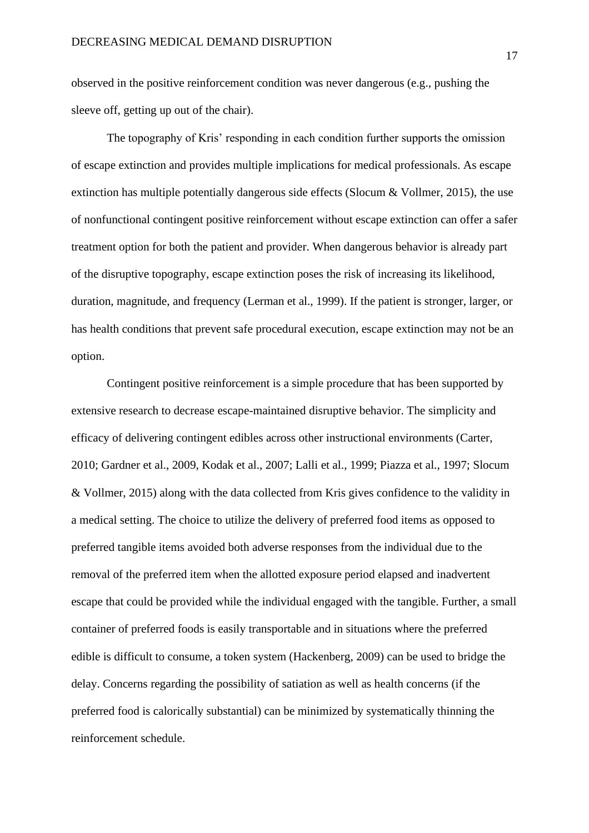observed in the positive reinforcement condition was never dangerous (e.g., pushing the sleeve off, getting up out of the chair).

The topography of Kris' responding in each condition further supports the omission of escape extinction and provides multiple implications for medical professionals. As escape extinction has multiple potentially dangerous side effects (Slocum & Vollmer, 2015), the use of nonfunctional contingent positive reinforcement without escape extinction can offer a safer treatment option for both the patient and provider. When dangerous behavior is already part of the disruptive topography, escape extinction poses the risk of increasing its likelihood, duration, magnitude, and frequency (Lerman et al., 1999). If the patient is stronger, larger, or has health conditions that prevent safe procedural execution, escape extinction may not be an option.

Contingent positive reinforcement is a simple procedure that has been supported by extensive research to decrease escape-maintained disruptive behavior. The simplicity and efficacy of delivering contingent edibles across other instructional environments (Carter, 2010; Gardner et al., 2009, Kodak et al., 2007; Lalli et al., 1999; Piazza et al., 1997; Slocum & Vollmer, 2015) along with the data collected from Kris gives confidence to the validity in a medical setting. The choice to utilize the delivery of preferred food items as opposed to preferred tangible items avoided both adverse responses from the individual due to the removal of the preferred item when the allotted exposure period elapsed and inadvertent escape that could be provided while the individual engaged with the tangible. Further, a small container of preferred foods is easily transportable and in situations where the preferred edible is difficult to consume, a token system (Hackenberg, 2009) can be used to bridge the delay. Concerns regarding the possibility of satiation as well as health concerns (if the preferred food is calorically substantial) can be minimized by systematically thinning the reinforcement schedule.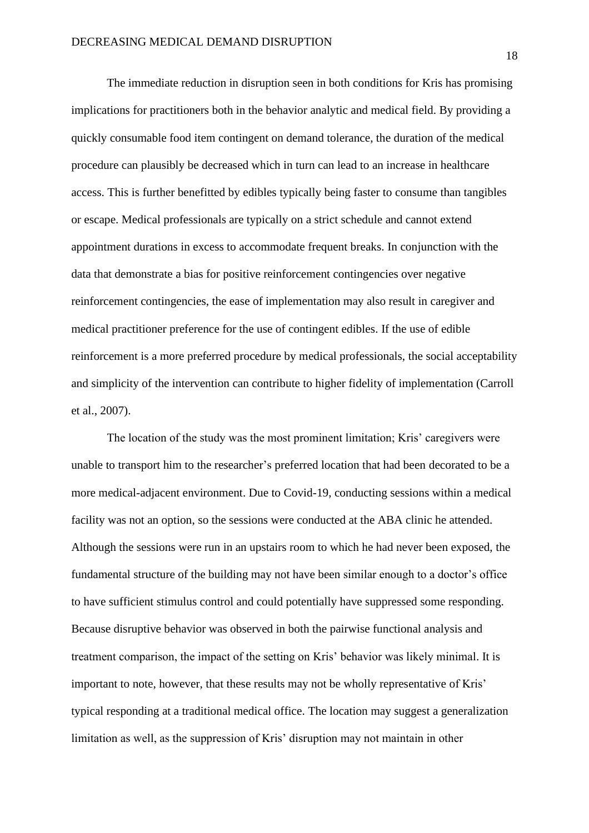The immediate reduction in disruption seen in both conditions for Kris has promising implications for practitioners both in the behavior analytic and medical field. By providing a quickly consumable food item contingent on demand tolerance, the duration of the medical procedure can plausibly be decreased which in turn can lead to an increase in healthcare access. This is further benefitted by edibles typically being faster to consume than tangibles or escape. Medical professionals are typically on a strict schedule and cannot extend appointment durations in excess to accommodate frequent breaks. In conjunction with the data that demonstrate a bias for positive reinforcement contingencies over negative reinforcement contingencies, the ease of implementation may also result in caregiver and medical practitioner preference for the use of contingent edibles. If the use of edible reinforcement is a more preferred procedure by medical professionals, the social acceptability and simplicity of the intervention can contribute to higher fidelity of implementation (Carroll et al., 2007).

The location of the study was the most prominent limitation; Kris' caregivers were unable to transport him to the researcher's preferred location that had been decorated to be a more medical-adjacent environment. Due to Covid-19, conducting sessions within a medical facility was not an option, so the sessions were conducted at the ABA clinic he attended. Although the sessions were run in an upstairs room to which he had never been exposed, the fundamental structure of the building may not have been similar enough to a doctor's office to have sufficient stimulus control and could potentially have suppressed some responding. Because disruptive behavior was observed in both the pairwise functional analysis and treatment comparison, the impact of the setting on Kris' behavior was likely minimal. It is important to note, however, that these results may not be wholly representative of Kris' typical responding at a traditional medical office. The location may suggest a generalization limitation as well, as the suppression of Kris' disruption may not maintain in other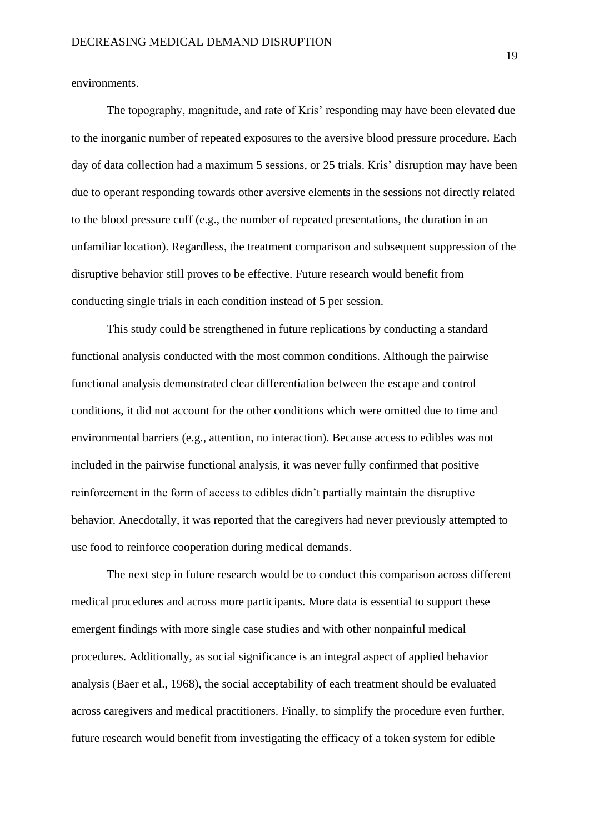environments.

The topography, magnitude, and rate of Kris' responding may have been elevated due to the inorganic number of repeated exposures to the aversive blood pressure procedure. Each day of data collection had a maximum 5 sessions, or 25 trials. Kris' disruption may have been due to operant responding towards other aversive elements in the sessions not directly related to the blood pressure cuff (e.g., the number of repeated presentations, the duration in an unfamiliar location). Regardless, the treatment comparison and subsequent suppression of the disruptive behavior still proves to be effective. Future research would benefit from conducting single trials in each condition instead of 5 per session.

This study could be strengthened in future replications by conducting a standard functional analysis conducted with the most common conditions. Although the pairwise functional analysis demonstrated clear differentiation between the escape and control conditions, it did not account for the other conditions which were omitted due to time and environmental barriers (e.g., attention, no interaction). Because access to edibles was not included in the pairwise functional analysis, it was never fully confirmed that positive reinforcement in the form of access to edibles didn't partially maintain the disruptive behavior. Anecdotally, it was reported that the caregivers had never previously attempted to use food to reinforce cooperation during medical demands.

The next step in future research would be to conduct this comparison across different medical procedures and across more participants. More data is essential to support these emergent findings with more single case studies and with other nonpainful medical procedures. Additionally, as social significance is an integral aspect of applied behavior analysis (Baer et al., 1968), the social acceptability of each treatment should be evaluated across caregivers and medical practitioners. Finally, to simplify the procedure even further, future research would benefit from investigating the efficacy of a token system for edible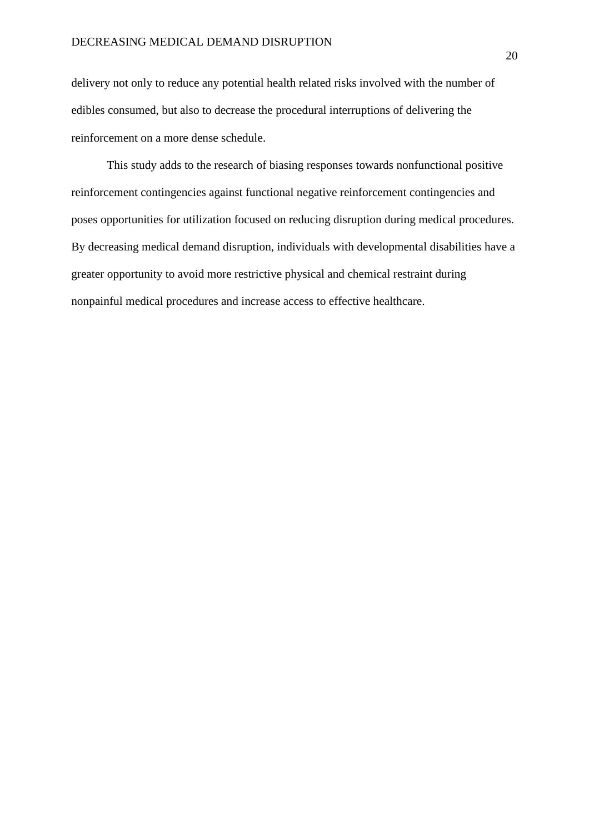delivery not only to reduce any potential health related risks involved with the number of edibles consumed, but also to decrease the procedural interruptions of delivering the reinforcement on a more dense schedule.

This study adds to the research of biasing responses towards nonfunctional positive reinforcement contingencies against functional negative reinforcement contingencies and poses opportunities for utilization focused on reducing disruption during medical procedures. By decreasing medical demand disruption, individuals with developmental disabilities have a greater opportunity to avoid more restrictive physical and chemical restraint during nonpainful medical procedures and increase access to effective healthcare.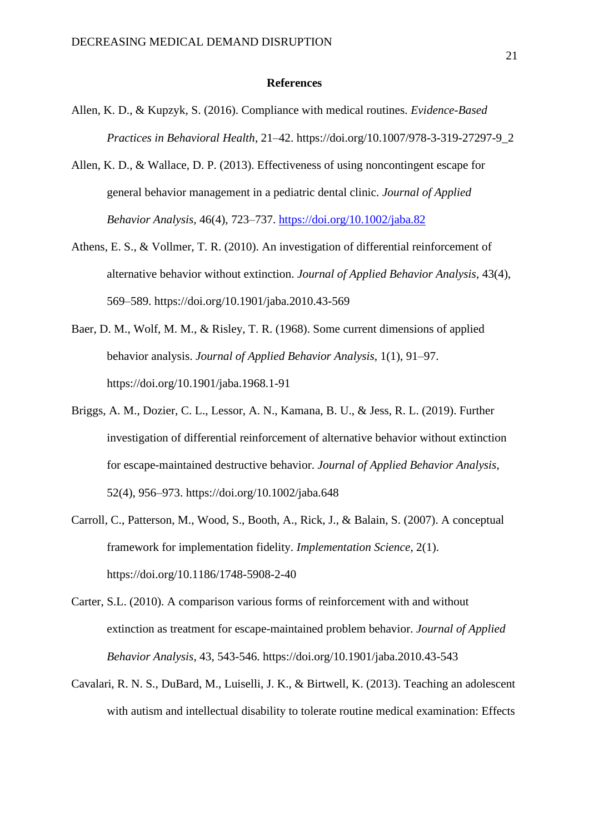#### **References**

- Allen, K. D., & Kupzyk, S. (2016). Compliance with medical routines. *Evidence-Based Practices in Behavioral Health*, 21–42. https://doi.org/10.1007/978-3-319-27297-9\_2
- Allen, K. D., & Wallace, D. P. (2013). Effectiveness of using noncontingent escape for general behavior management in a pediatric dental clinic. *Journal of Applied Behavior Analysis,* 46(4), 723–737.<https://doi.org/10.1002/jaba.82>
- Athens, E. S., & Vollmer, T. R. (2010). An investigation of differential reinforcement of alternative behavior without extinction. *Journal of Applied Behavior Analysis,* 43(4), 569–589. https://doi.org/10.1901/jaba.2010.43-569
- Baer, D. M., Wolf, M. M., & Risley, T. R. (1968). Some current dimensions of applied behavior analysis. *Journal of Applied Behavior Analysis*, 1(1), 91–97. https://doi.org/10.1901/jaba.1968.1-91
- Briggs, A. M., Dozier, C. L., Lessor, A. N., Kamana, B. U., & Jess, R. L. (2019). Further investigation of differential reinforcement of alternative behavior without extinction for escape-maintained destructive behavior. *Journal of Applied Behavior Analysis*, 52(4), 956–973. https://doi.org/10.1002/jaba.648
- Carroll, C., Patterson, M., Wood, S., Booth, A., Rick, J., & Balain, S. (2007). A conceptual framework for implementation fidelity. *Implementation Science*, 2(1). https://doi.org/10.1186/1748-5908-2-40
- Carter, S.L. (2010). A comparison various forms of reinforcement with and without extinction as treatment for escape-maintained problem behavior. *Journal of Applied Behavior Analysis*, 43, 543-546. https://doi.org/10.1901/jaba.2010.43-543
- Cavalari, R. N. S., DuBard, M., Luiselli, J. K., & Birtwell, K. (2013). Teaching an adolescent with autism and intellectual disability to tolerate routine medical examination: Effects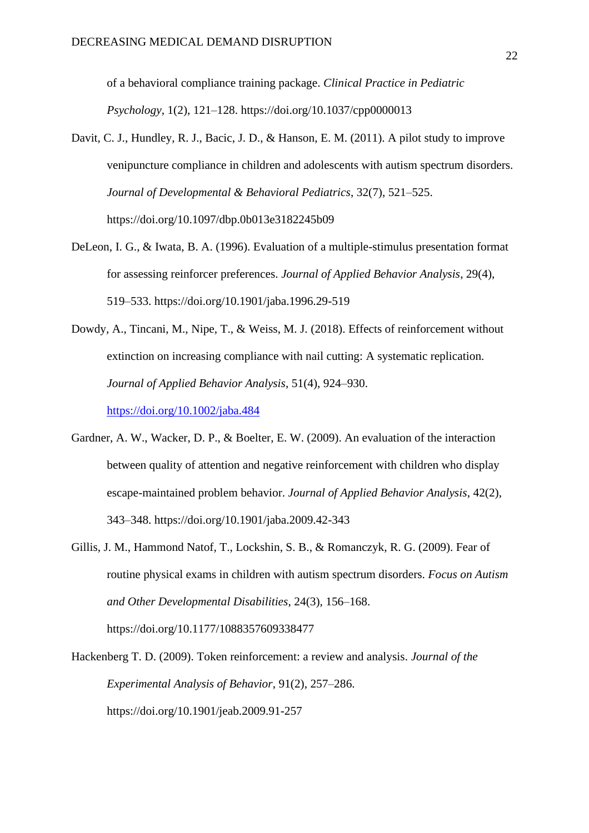of a behavioral compliance training package. *Clinical Practice in Pediatric Psychology*, 1(2), 121–128. https://doi.org/10.1037/cpp0000013

- Davit, C. J., Hundley, R. J., Bacic, J. D., & Hanson, E. M. (2011). A pilot study to improve venipuncture compliance in children and adolescents with autism spectrum disorders. *Journal of Developmental & Behavioral Pediatrics*, 32(7), 521–525. https://doi.org/10.1097/dbp.0b013e3182245b09
- DeLeon, I. G., & Iwata, B. A. (1996). Evaluation of a multiple-stimulus presentation format for assessing reinforcer preferences. *Journal of Applied Behavior Analysis*, 29(4), 519–533. https://doi.org/10.1901/jaba.1996.29-519

Dowdy, A., Tincani, M., Nipe, T., & Weiss, M. J. (2018). Effects of reinforcement without extinction on increasing compliance with nail cutting: A systematic replication. *Journal of Applied Behavior Analysis*, 51(4), 924–930. <https://doi.org/10.1002/jaba.484>

- Gardner, A. W., Wacker, D. P., & Boelter, E. W. (2009). An evaluation of the interaction between quality of attention and negative reinforcement with children who display escape-maintained problem behavior. *Journal of Applied Behavior Analysis*, 42(2), 343–348. https://doi.org/10.1901/jaba.2009.42-343
- Gillis, J. M., Hammond Natof, T., Lockshin, S. B., & Romanczyk, R. G. (2009). Fear of routine physical exams in children with autism spectrum disorders. *Focus on Autism and Other Developmental Disabilities*, 24(3), 156–168. https://doi.org/10.1177/1088357609338477

Hackenberg T. D. (2009). Token reinforcement: a review and analysis. *Journal of the Experimental Analysis of Behavior*, 91(2), 257–286. https://doi.org/10.1901/jeab.2009.91-257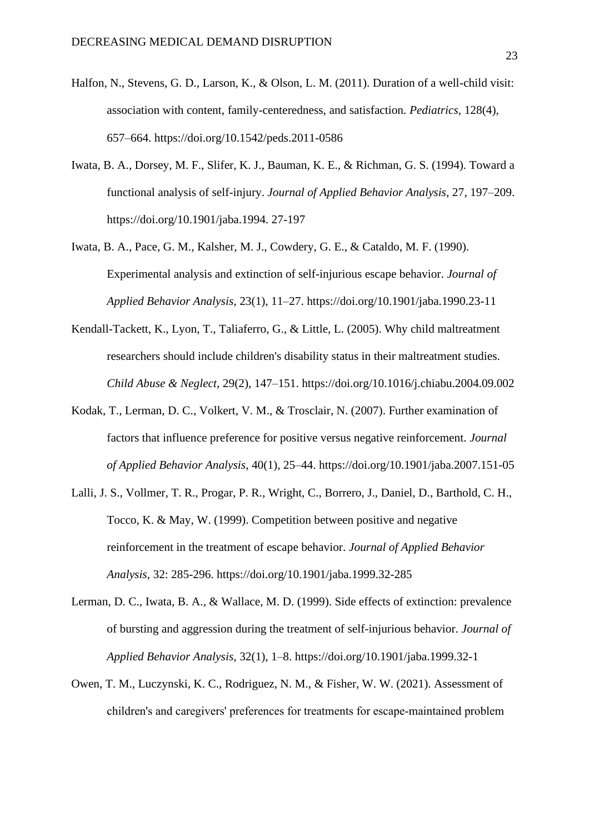- Halfon, N., Stevens, G. D., Larson, K., & Olson, L. M. (2011). Duration of a well-child visit: association with content, family-centeredness, and satisfaction. *Pediatrics*, 128(4), 657–664. https://doi.org/10.1542/peds.2011-0586
- Iwata, B. A., Dorsey, M. F., Slifer, K. J., Bauman, K. E., & Richman, G. S. (1994). Toward a functional analysis of self-injury. *Journal of Applied Behavior Analysis,* 27, 197–209. https://doi.org/10.1901/jaba.1994. 27-197
- Iwata, B. A., Pace, G. M., Kalsher, M. J., Cowdery, G. E., & Cataldo, M. F. (1990). Experimental analysis and extinction of self-injurious escape behavior. *Journal of Applied Behavior Analysis,* 23(1), 11–27. https://doi.org/10.1901/jaba.1990.23-11
- Kendall-Tackett, K., Lyon, T., Taliaferro, G., & Little, L. (2005). Why child maltreatment researchers should include children's disability status in their maltreatment studies. *Child Abuse & Neglect*, 29(2), 147–151. https://doi.org/10.1016/j.chiabu.2004.09.002
- Kodak, T., Lerman, D. C., Volkert, V. M., & Trosclair, N. (2007). Further examination of factors that influence preference for positive versus negative reinforcement. *Journal of Applied Behavior Analysis*, 40(1), 25–44. https://doi.org/10.1901/jaba.2007.151-05
- Lalli, J. S., Vollmer, T. R., Progar, P. R., Wright, C., Borrero, J., Daniel, D., Barthold, C. H., Tocco, K. & May, W. (1999). Competition between positive and negative reinforcement in the treatment of escape behavior. *Journal of Applied Behavior Analysis*, 32: 285-296. https://doi.org/10.1901/jaba.1999.32-285
- Lerman, D. C., Iwata, B. A., & Wallace, M. D. (1999). Side effects of extinction: prevalence of bursting and aggression during the treatment of self-injurious behavior. *Journal of Applied Behavior Analysis,* 32(1), 1–8. https://doi.org/10.1901/jaba.1999.32-1
- Owen, T. M., Luczynski, K. C., Rodriguez, N. M., & Fisher, W. W. (2021). Assessment of children's and caregivers' preferences for treatments for escape‐maintained problem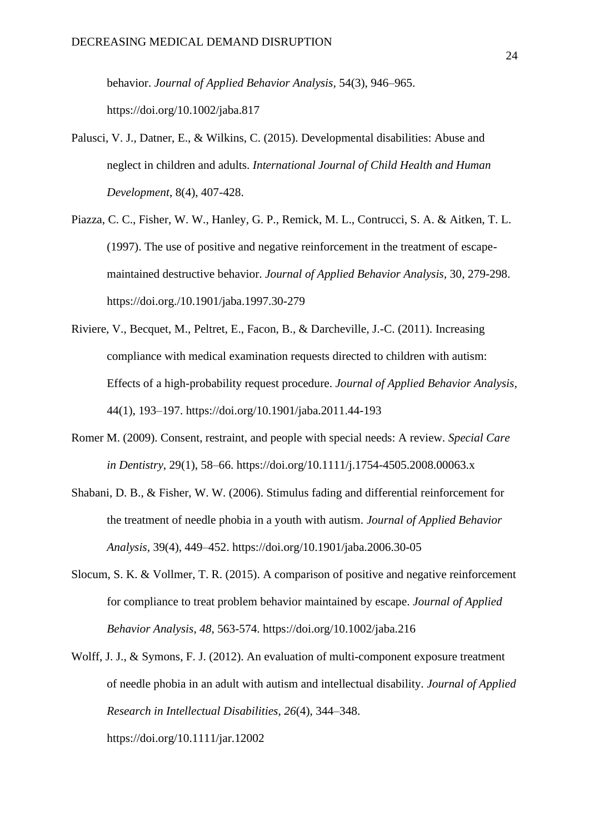behavior. *Journal of Applied Behavior Analysis,* 54(3), 946–965. https://doi.org/10.1002/jaba.817

- Palusci, V. J., Datner, E., & Wilkins, C. (2015). Developmental disabilities: Abuse and neglect in children and adults. *International Journal of Child Health and Human Development*, 8(4), 407-428.
- Piazza, C. C., Fisher, W. W., Hanley, G. P., Remick, M. L., Contrucci, S. A. & Aitken, T. L. (1997). The use of positive and negative reinforcement in the treatment of escapemaintained destructive behavior. *Journal of Applied Behavior Analysis,* 30, 279-298. https://doi.org./10.1901/jaba.1997.30-279
- Riviere, V., Becquet, M., Peltret, E., Facon, B., & Darcheville, J.-C. (2011). Increasing compliance with medical examination requests directed to children with autism: Effects of a high-probability request procedure. *Journal of Applied Behavior Analysis,*  44(1), 193–197. https://doi.org/10.1901/jaba.2011.44-193
- Romer M. (2009). Consent, restraint, and people with special needs: A review. *Special Care in Dentistry*, 29(1), 58–66. https://doi.org/10.1111/j.1754-4505.2008.00063.x
- Shabani, D. B., & Fisher, W. W. (2006). Stimulus fading and differential reinforcement for the treatment of needle phobia in a youth with autism. *Journal of Applied Behavior Analysis,* 39(4), 449–452. https://doi.org/10.1901/jaba.2006.30-05
- Slocum, S. K. & Vollmer, T. R. (2015). A comparison of positive and negative reinforcement for compliance to treat problem behavior maintained by escape. *Journal of Applied Behavior Analysis*, *48*, 563-574. https://doi.org/10.1002/jaba.216
- Wolff, J. J., & Symons, F. J. (2012). An evaluation of multi-component exposure treatment of needle phobia in an adult with autism and intellectual disability. *Journal of Applied Research in Intellectual Disabilities*, *26*(4), 344–348. https://doi.org/10.1111/jar.12002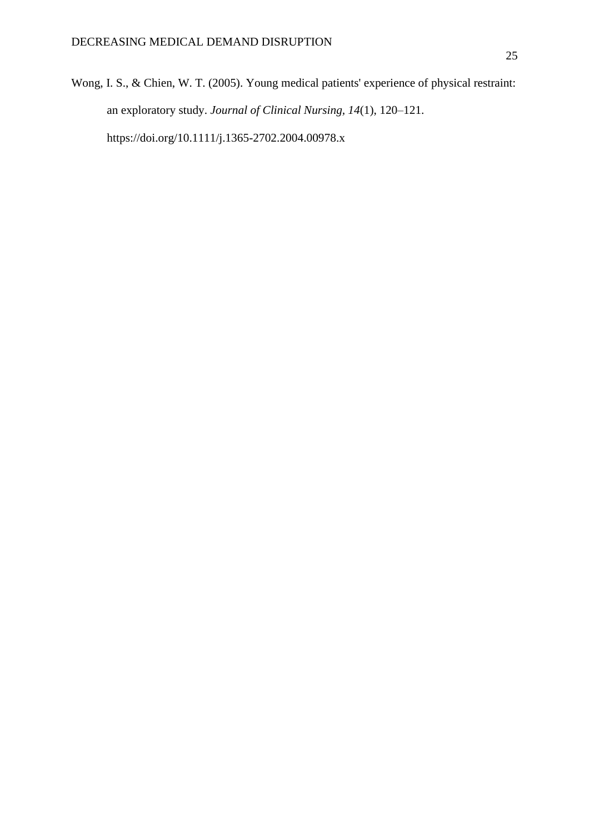Wong, I. S., & Chien, W. T. (2005). Young medical patients' experience of physical restraint: an exploratory study. *Journal of Clinical Nursing, 14*(1), 120–121. https://doi.org/10.1111/j.1365-2702.2004.00978.x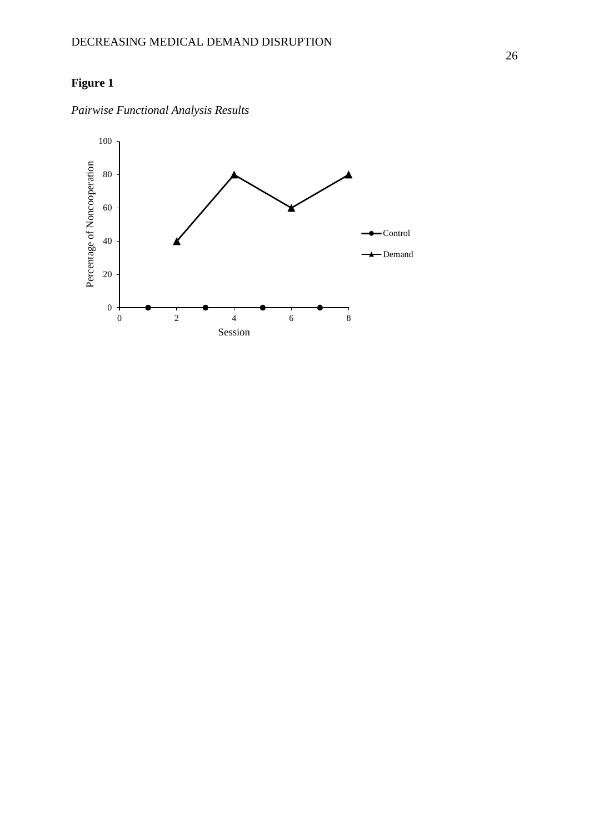## **Figure 1**



*Pairwise Functional Analysis Results*